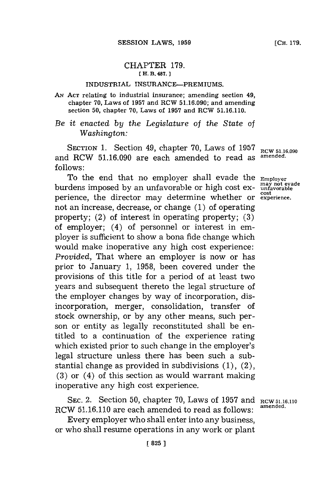## CHAPTER **179. [** H. B. **487.**

## INDUSTRIAL INSURANCE-PREMIUMS.

**AN ACT** relating to industrial insurance; amending section 49, chapter **70,** Laws of **1957** and RCW **51.16.090;** and amending section **50,** chapter **70,** Laws of **1957** and ROW **51.16.110.**

*Be it enacted by the Legislature of the State of Washington:*

SECTION 1. Section 49, chapter 70, Laws of 1957 RCW 51.16.090 and RCW **51.16.090** are each amended to read as **amended. follows:**

To the end that no employer shall evade the **Employer**<br>rdens imposed by an unfavorable or high cost ex- unfavorable **burdens imposed by an unfavorable or high cost ex**perience, the director may determine whether or **experience** not an increase, decrease, or change **(1)** of operating property; (2) of interest in operating property; **(3)** of employer; (4) of personnel or interest in employer is sufficient to show a bona fide change which would make inoperative any high cost experience: *Provided,* That where an employer is now or has prior to January **1, 1958,** been covered under the provisions of this title for a period of at least two years and subsequent thereto the legal structure of the employer changes **by** way of incorporation, disincorporation, merger, consolidation, transfer of stock ownership, or **by** any other means, such person or entity as legally reconstituted shall be entitled to a continuation of the experience rating which existed prior to such change in the employer's legal structure unless there has been such a substantial change as provided in subdivisions **(1),** (2), **(3)** or (4) of this section as would warrant making inoperative any high cost experience.

**SEC.** 2. Section **50,** chapter **70,** Laws of **1957** and **RCW 51.16.110** RCW **51.16.110** are each amended to read as **follows: amended.**

Every employer who shall enter into any business, or who shall resume operations in any work or plant